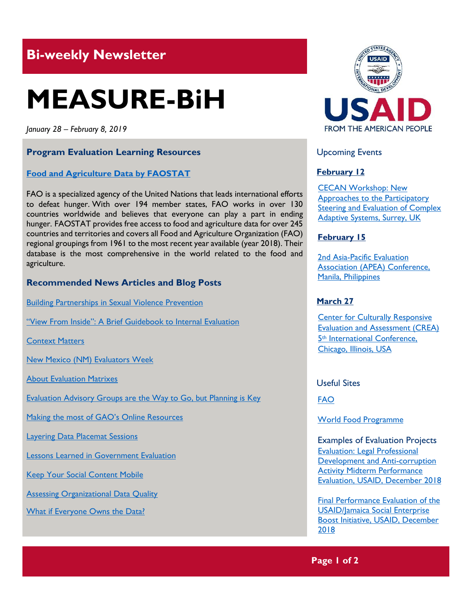## **Bi-weekly Newsletter**

# **MEASURE-BiH**

*January 28 – February 8, 2019*

#### **Program Evaluation Learning Resources**

#### **Food [and Agriculture Data](http://www.fao.org/faostat/en/#home) by FAOSTAT**

FAO is a specialized agency of the United Nations that leads international efforts to defeat hunger. With over 194 member states, FAO works in over 130 countries worldwide and believes that everyone can play a part in ending hunger. FAOSTAT provides free access to food and agriculture data for over 245 countries and territories and covers all Food and Agriculture Organization (FAO) regional groupings from 1961 to the most recent year available (year 2018). Their database is the most comprehensive in the world related to the food and agriculture.

#### **Recommended News Articles and Blog Posts**

[Building Partnerships in Sexual Violence Prevention](https://aea365.org/blog/nme-week-the-2016-sex-crimes-trends-in-new-mexico-report-by-nancy-breti/)

["View From Inside": A Brief Guidebook to Internal Evaluation](https://aea365.org/blog/nme-week-view-from-inside-a-brief-guidebook-to-internal-evaluation-by-deborah-good/)

[Context Matters](https://aea365.org/blog/nme-week-context-matters-by-carlos-romero/)

[New Mexico \(NM\) Evaluators Week](https://aea365.org/blog/nme-week-new-mexico-nm-evaluators-week-by-kathryn-lowerre/)

[About Evaluation Matrixes](https://aea365.org/blog/about-evaluation-matrixes-by-sara-vaca/)

[Evaluation Advisory Groups are the Way to Go, but Planning is Key](https://aea365.org/blog/govt-eval-tig-week-evaluation-advisory-groups-are-the-way-to-go-but-planning-is-key-by-chris-voegeli/)

[Making the most of GAO's Online Resources](https://aea365.org/blog/govt-eval-tig-week-making-the-most-of-gaos-online-resources-by-brooke-leary/)

[Layering Data Placemat Sessions](https://aea365.org/blog/govt-eval-tig-week-layering-data-placemat-sessions-by-elise-garvey/)

[Lessons Learned in Government Evaluation](https://aea365.org/blog/govt-eval-tig-week-lessons-learned-in-government-evaluation-by-david-bernstein/)

[Keep Your Social Content Mobile](https://aea365.org/blog/keep-your-social-content-mobile-by-jayne-corso/)

[Assessing Organizational Data Quality](https://aea365.org/blog/getting-great-data-week-assessing-organizational-data-quality-by-morgan-buras-finlay-and-eric-barela/)

[What if Everyone Owns the Data?](https://aea365.org/blog/getting-great-data-week-what-if-everyone-owns-the-data-by-the-improve-group/)



Upcoming Events

#### **February 12**

[CECAN Workshop: New](https://www.cecan.ac.uk/events/cecan-workshop-new-approaches-to-participatory-steering-and-evaluation-of-complex-adaptive)  [Approaches to the Participatory](https://www.cecan.ac.uk/events/cecan-workshop-new-approaches-to-participatory-steering-and-evaluation-of-complex-adaptive)  [Steering and Evaluation of Complex](https://www.cecan.ac.uk/events/cecan-workshop-new-approaches-to-participatory-steering-and-evaluation-of-complex-adaptive)  [Adaptive Systems, Surrey, UK](https://www.cecan.ac.uk/events/cecan-workshop-new-approaches-to-participatory-steering-and-evaluation-of-complex-adaptive) 

#### **February 15**

[2nd Asia-Pacific Evaluation](http://apeaconference2019.com/)  [Association \(APEA\) Conference,](http://apeaconference2019.com/)  [Manila, Philippines](http://apeaconference2019.com/) 

#### **March 27**

**Center for Culturally Responsive** [Evaluation and Assessment \(CREA\)](https://crea.education.illinois.edu/home/fifth-international-conference)  5th [International Conference,](https://crea.education.illinois.edu/home/fifth-international-conference)  [Chicago, Illinois, USA](https://crea.education.illinois.edu/home/fifth-international-conference) 

Useful Sites

[FAO](http://www.fao.org/home/en/)

[World Food Programme](https://www1.wfp.org/)

Examples of Evaluation Projects [Evaluation: Legal Professional](https://dec.usaid.gov/dec/content/Detail_Presto.aspx?ctID=ODVhZjk4NWQtM2YyMi00YjRmLTkxNjktZTcxMjM2NDBmY2Uy&rID=NTE2MjAy&qrs=RmFsc2U%3d&q=KERvY3VtZW50cy5CaWJ0eXBlX05hbWU6KCgiU3BlY2lhbCBFdmFsdWF0aW9uIikgT1IgKCJGaW5hbCBFdmFsdWF0aW9uIFJlcG9ydCIpKSk%3d&ph=VHJ1ZQ%3d%3d&bckToL=VHJ1ZQ%3d%3d&rrtc=VHJ1ZQ%3d%3d)  [Development and Anti-corruption](https://dec.usaid.gov/dec/content/Detail_Presto.aspx?ctID=ODVhZjk4NWQtM2YyMi00YjRmLTkxNjktZTcxMjM2NDBmY2Uy&rID=NTE2MjAy&qrs=RmFsc2U%3d&q=KERvY3VtZW50cy5CaWJ0eXBlX05hbWU6KCgiU3BlY2lhbCBFdmFsdWF0aW9uIikgT1IgKCJGaW5hbCBFdmFsdWF0aW9uIFJlcG9ydCIpKSk%3d&ph=VHJ1ZQ%3d%3d&bckToL=VHJ1ZQ%3d%3d&rrtc=VHJ1ZQ%3d%3d)  [Activity Midterm Performance](https://dec.usaid.gov/dec/content/Detail_Presto.aspx?ctID=ODVhZjk4NWQtM2YyMi00YjRmLTkxNjktZTcxMjM2NDBmY2Uy&rID=NTE2MjAy&qrs=RmFsc2U%3d&q=KERvY3VtZW50cy5CaWJ0eXBlX05hbWU6KCgiU3BlY2lhbCBFdmFsdWF0aW9uIikgT1IgKCJGaW5hbCBFdmFsdWF0aW9uIFJlcG9ydCIpKSk%3d&ph=VHJ1ZQ%3d%3d&bckToL=VHJ1ZQ%3d%3d&rrtc=VHJ1ZQ%3d%3d)  [Evaluation, USAID, December](https://dec.usaid.gov/dec/content/Detail_Presto.aspx?ctID=ODVhZjk4NWQtM2YyMi00YjRmLTkxNjktZTcxMjM2NDBmY2Uy&rID=NTE2MjAy&qrs=RmFsc2U%3d&q=KERvY3VtZW50cy5CaWJ0eXBlX05hbWU6KCgiU3BlY2lhbCBFdmFsdWF0aW9uIikgT1IgKCJGaW5hbCBFdmFsdWF0aW9uIFJlcG9ydCIpKSk%3d&ph=VHJ1ZQ%3d%3d&bckToL=VHJ1ZQ%3d%3d&rrtc=VHJ1ZQ%3d%3d) 2018

[Final Performance Evaluation of the](https://dec.usaid.gov/dec/content/Detail_Presto.aspx?ctID=ODVhZjk4NWQtM2YyMi00YjRmLTkxNjktZTcxMjM2NDBmY2Uy&rID=NTE1OTE2&qrs=RmFsc2U%3d&q=KERvY3VtZW50cy5CaWJ0eXBlX05hbWU6KCgiU3BlY2lhbCBFdmFsdWF0aW9uIikgT1IgKCJGaW5hbCBFdmFsdWF0aW9uIFJlcG9ydCIpKSk%3d&ph=VHJ1ZQ%3d%3d&bckToL=VHJ1ZQ%3d%3d&rrtc=VHJ1ZQ%3d%3d)  [USAID/Jamaica Social Enterprise](https://dec.usaid.gov/dec/content/Detail_Presto.aspx?ctID=ODVhZjk4NWQtM2YyMi00YjRmLTkxNjktZTcxMjM2NDBmY2Uy&rID=NTE1OTE2&qrs=RmFsc2U%3d&q=KERvY3VtZW50cy5CaWJ0eXBlX05hbWU6KCgiU3BlY2lhbCBFdmFsdWF0aW9uIikgT1IgKCJGaW5hbCBFdmFsdWF0aW9uIFJlcG9ydCIpKSk%3d&ph=VHJ1ZQ%3d%3d&bckToL=VHJ1ZQ%3d%3d&rrtc=VHJ1ZQ%3d%3d)  Boost Initiative, [USAID, December](https://dec.usaid.gov/dec/content/Detail_Presto.aspx?ctID=ODVhZjk4NWQtM2YyMi00YjRmLTkxNjktZTcxMjM2NDBmY2Uy&rID=NTE1OTE2&qrs=RmFsc2U%3d&q=KERvY3VtZW50cy5CaWJ0eXBlX05hbWU6KCgiU3BlY2lhbCBFdmFsdWF0aW9uIikgT1IgKCJGaW5hbCBFdmFsdWF0aW9uIFJlcG9ydCIpKSk%3d&ph=VHJ1ZQ%3d%3d&bckToL=VHJ1ZQ%3d%3d&rrtc=VHJ1ZQ%3d%3d) [2018](https://dec.usaid.gov/dec/content/Detail_Presto.aspx?ctID=ODVhZjk4NWQtM2YyMi00YjRmLTkxNjktZTcxMjM2NDBmY2Uy&rID=NTE1OTE2&qrs=RmFsc2U%3d&q=KERvY3VtZW50cy5CaWJ0eXBlX05hbWU6KCgiU3BlY2lhbCBFdmFsdWF0aW9uIikgT1IgKCJGaW5hbCBFdmFsdWF0aW9uIFJlcG9ydCIpKSk%3d&ph=VHJ1ZQ%3d%3d&bckToL=VHJ1ZQ%3d%3d&rrtc=VHJ1ZQ%3d%3d)

**Page 1 of 2**